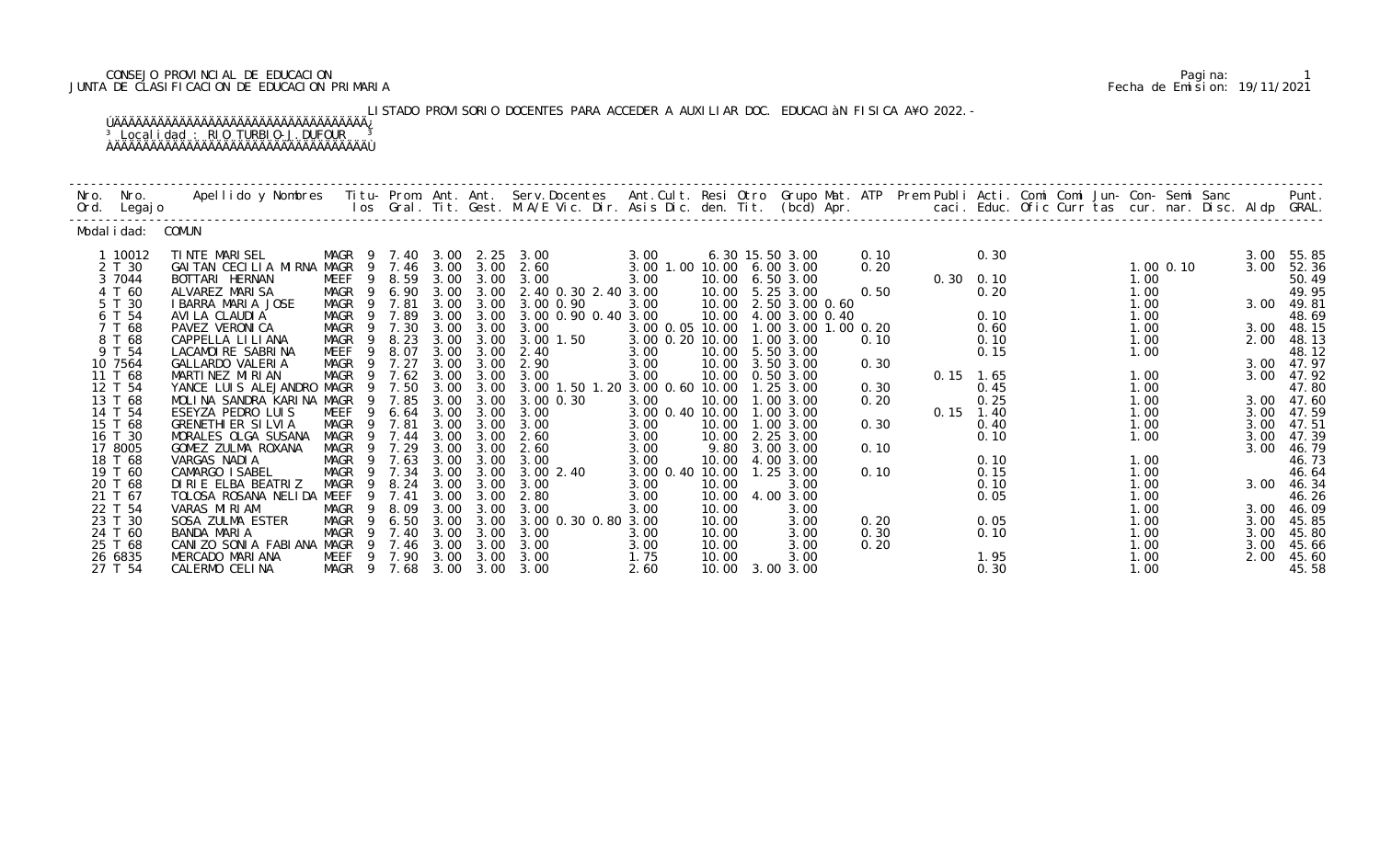### CONSEJO PROVINCIAL DE EDUCACION Pagina: 1 JUNTA DE CLASIFICACION DE EDUCACION PRIMARIA Fecha de Emision: 19/11/2021

LISTADO PROVISORIO DOCENTES PARA ACCEDER A AUXILIAR DOC. EDUCACIàN FISICA A¥O 2022.-

| Nro. | Nro.<br>Ord. Legajo | Apellido y Nombres  Titu- Prom. Ant. Ant. Serv.Docentes  Ant.Cult. Resi Otro Grupo Mat. ATP Prem Publi Acti. Comi Comi Jun- Con- Semi Sanc           Punt.<br>Ios Gral. Tit. Gest. M.A/E Vic. Dir. Asis Dic. den. Tit. (bcd) Apr. |                                     |                |      |                   |                                  |                           |       |                                              |      |                   |              |  |              |      |                     |
|------|---------------------|-----------------------------------------------------------------------------------------------------------------------------------------------------------------------------------------------------------------------------------|-------------------------------------|----------------|------|-------------------|----------------------------------|---------------------------|-------|----------------------------------------------|------|-------------------|--------------|--|--------------|------|---------------------|
|      | Modal i dad: COMUN  |                                                                                                                                                                                                                                   |                                     |                |      |                   |                                  |                           |       |                                              |      |                   |              |  |              |      |                     |
|      | 1 10012             | TINTE MARISEL                                                                                                                                                                                                                     | MAGR<br>- 9                         | 7.40           |      |                   | 3.00 2.25 3.00                   | 3.00                      |       | 6.30 15.50 3.00                              | 0.10 |                   | 0.30         |  |              | 3.00 | 55.85               |
|      | 2 T 30              | GAITAN CECILIA MIRNA MAGR                                                                                                                                                                                                         | - 9                                 | 7.46           |      | $3.00 \quad 3.00$ | 2.60                             | 3.00 1.00 10.00 6.00 3.00 |       |                                              | 0.20 |                   |              |  | $1.00$ 0.10  | 3.00 | 52.36               |
|      | 3 7044              | BOTTARI HERNAN                                                                                                                                                                                                                    | MEEF<br>9                           | 8.59           | 3.00 | 3.00              | 3.00                             | 3.00                      |       | 10.00 6.50 3.00                              |      | $0.30 \quad 0.10$ |              |  | 1.00         |      | 50.49               |
|      | 4 T 60              | ALVAREZ MARISA                                                                                                                                                                                                                    | MAGR<br>- 9                         | 6.90           |      |                   | 3.00 3.00 2.40 0.30 2.40 3.00    |                           |       | 10.00 5.25 3.00                              | 0.50 |                   | 0.20         |  | 1.00         |      | 49.95               |
|      | 5 T 30<br>6 T 54    | I BARRA MARIA JOSE<br>AVI LA CLAUDI A                                                                                                                                                                                             | MAGR<br>$\overline{9}$<br>MAGR<br>9 | 7.81<br>7.89   | 3.00 | 3.00<br>3.00 3.00 | 3.00 0.90<br>3.00 0.90 0.40 3.00 | 3.00                      |       | 10.00 2.50 3.00 0.60<br>10.00 4.00 3.00 0.40 |      |                   | 0.10         |  | 1.00<br>1.00 |      | 3.00 49.81<br>48.69 |
|      | 7 T 68              | PAVEZ VERONICA                                                                                                                                                                                                                    | MAGR<br>-9                          | 7.30           | 3.00 | 3.00              | 3.00                             | 3.00 0.05 10.00           |       | 1.00 3.00 1.00 0.20                          |      |                   | 0.60         |  | 1.00         | 3.00 | 48.15               |
|      | 8 T 68              | CAPPELLA LI LI ANA                                                                                                                                                                                                                | 9<br>MAGR                           | 8.23           | 3.00 | 3.00              | 3.00 1.50                        | 3.00 0.20 10.00           |       | 1.00 3.00                                    | 0.10 |                   | 0.10         |  | 1.00         | 2.00 | 48.13               |
|      | 9 T 54              | LACAMOIRE SABRINA                                                                                                                                                                                                                 | MEEF<br>-9                          | 8.07           | 3.00 | 3.00              | 2.40                             | 3.00                      |       | 10.00 5.50 3.00                              |      |                   | 0.15         |  | 1.00         |      | 48.12               |
|      | 10 7564             | GALLARDO VALERIA                                                                                                                                                                                                                  | MAGR<br>-9                          | 7.27           | 3.00 | 3.00              | 2.90                             | 3.00                      |       | 10.00 3.50 3.00                              | 0.30 |                   |              |  |              |      | 3.00 47.97          |
|      | 11 T 68             | MARTINEZ MIRIAN                                                                                                                                                                                                                   | MAGR<br>- 9                         | 7.62           | 3.00 | 3.00              | 3.00                             | 3.00                      | 10.00 | 0.50 3.00                                    |      | $0.15$ 1.65       |              |  | 1.00         | 3.00 | 47.92               |
|      | 12 T 54             | YANCE LUIS ALEJANDRO MAGR                                                                                                                                                                                                         | -9                                  | 7.50           | 3.00 | 3.00              | 3.00 1.50 1.20 3.00 0.60 10.00   |                           |       | 1.25 3.00                                    | 0.30 |                   | 0.45         |  | 1.00         |      | 47.80               |
|      | 13 T 68             | MOLINA SANDRA KARINA MAGR                                                                                                                                                                                                         | - 9                                 | 7.85           | 3.00 | 3.00              | 3.00 0.30                        | 3.00                      | 10.00 | 1.00 3.00                                    | 0.20 |                   | 0.25         |  | 1.00         |      | 3.00 47.60          |
|      | 14 T 54             | ESEYZA PEDRO LUIS                                                                                                                                                                                                                 | MEEF<br>9                           | 6.64           | 3.00 | 3.00              | 3.00                             | 3.00 0.40 10.00           |       | 1.00 3.00                                    |      | $0.15$ 1.40       |              |  | 1.00         | 3.00 | 47.59               |
|      | 15 T 68             | <b>GRENETHI ER SILVIA</b>                                                                                                                                                                                                         | MAGR<br>9                           | 7.81           | 3.00 | 3.00              | 3.00                             | 3.00                      | 10.00 | 1.00 3.00                                    | 0.30 |                   | 0.40         |  | 1.00         | 3.00 | 47.51               |
|      | 16 T 30             | MORALES OLGA SUSANA                                                                                                                                                                                                               | MAGR<br>-9                          | 7.44           | 3.00 | 3.00              | 2.60                             | 3.00                      | 10.00 | 2.25 3.00                                    |      |                   | 0.10         |  | 1.00         | 3.00 | 47.39               |
|      | 17 8005             | GOMEZ ZULMA ROXANA                                                                                                                                                                                                                | MAGR                                | 7.29           | 3.00 | 3.00              | 2.60                             | 3.00                      |       | 9.80 3.00 3.00                               | 0.10 |                   |              |  |              | 3.00 | 46.79               |
|      | 18 T 68<br>19 T 60  | VARGAS NADIA<br>CAMARGO ISABEL                                                                                                                                                                                                    | MAGR<br>MAGR<br>- 9                 | 9 7.63<br>7.34 | 3.00 | 3.00 3.00<br>3.00 | 3.00<br>3.002.40                 | 3.00<br>3.00 0.40 10.00   | 10.00 | 4.00 3.00<br>1.25 3.00                       | 0.10 |                   | 0.10<br>0.15 |  | 1.00<br>1.00 |      | 46.73<br>46.64      |
|      | 20 T 68             | DIRIE ELBA BEATRIZ                                                                                                                                                                                                                | <b>MAGR</b>                         | 8.24           | 3.00 | 3.00              | 3.00                             | 3.00                      | 10.00 | 3.00                                         |      |                   | 0.10         |  | 1.00         | 3.00 | 46.34               |
|      | 21 T 67             | TOLOSA ROSANA NELIDA MEEF                                                                                                                                                                                                         | 9                                   | 7.41           | 3.00 | 3.00              | 2.80                             | 3.00                      |       | 10.00 4.00 3.00                              |      |                   | 0.05         |  | 1.00         |      | 46.26               |
|      | 22 T 54             | VARAS MIRIAM                                                                                                                                                                                                                      | MAGR<br>- 9                         | 8.09           | 3.00 | 3.00              | 3.00                             | 3.00                      | 10.00 | 3.00                                         |      |                   |              |  | 1.00         |      | 3.00 46.09          |
|      | 23 T 30             | SOSA ZULMA ESTER                                                                                                                                                                                                                  | <b>MAGR</b><br>9                    | 6.50           | 3.00 | 3.00              | 3.00 0.30 0.80 3.00              |                           | 10.00 | 3.00                                         | 0.20 |                   | 0.05         |  | 1.00         | 3.00 | 45.85               |
|      | 24 T 60             | BANDA MARIA                                                                                                                                                                                                                       | MAGR<br>9                           | 7.40           | 3.00 | 3.00              | 3.00                             | 3.00                      | 10.00 | 3.00                                         | 0.30 |                   | 0.10         |  | 1.00         | 3.00 | 45.80               |
|      | 25 T 68             | CANIZO SONIA FABIANA MAGR                                                                                                                                                                                                         | - 9                                 | 7.46           | 3.00 | 3.00              | 3.00                             | 3.00                      | 10.00 | 3.00                                         | 0.20 |                   |              |  | 1.00         | 3.00 | 45.66               |
|      | 26 6835             | MERCADO MARIANA                                                                                                                                                                                                                   | MEEF 9 7.90                         |                |      | 3.00 3.00         | 3.00                             | 1.75                      | 10.00 | 3.00                                         |      |                   | 1.95         |  | 1.00         | 2.00 | 45.60               |
|      | 27 T 54             | CALERMO CELINA                                                                                                                                                                                                                    | MAGR 9                              | 7.68           | 3.00 | 3.00              | 3.00                             | 2.60                      |       | 10.00 3.00 3.00                              |      |                   | 0.30         |  | 1.00         |      | 45.58               |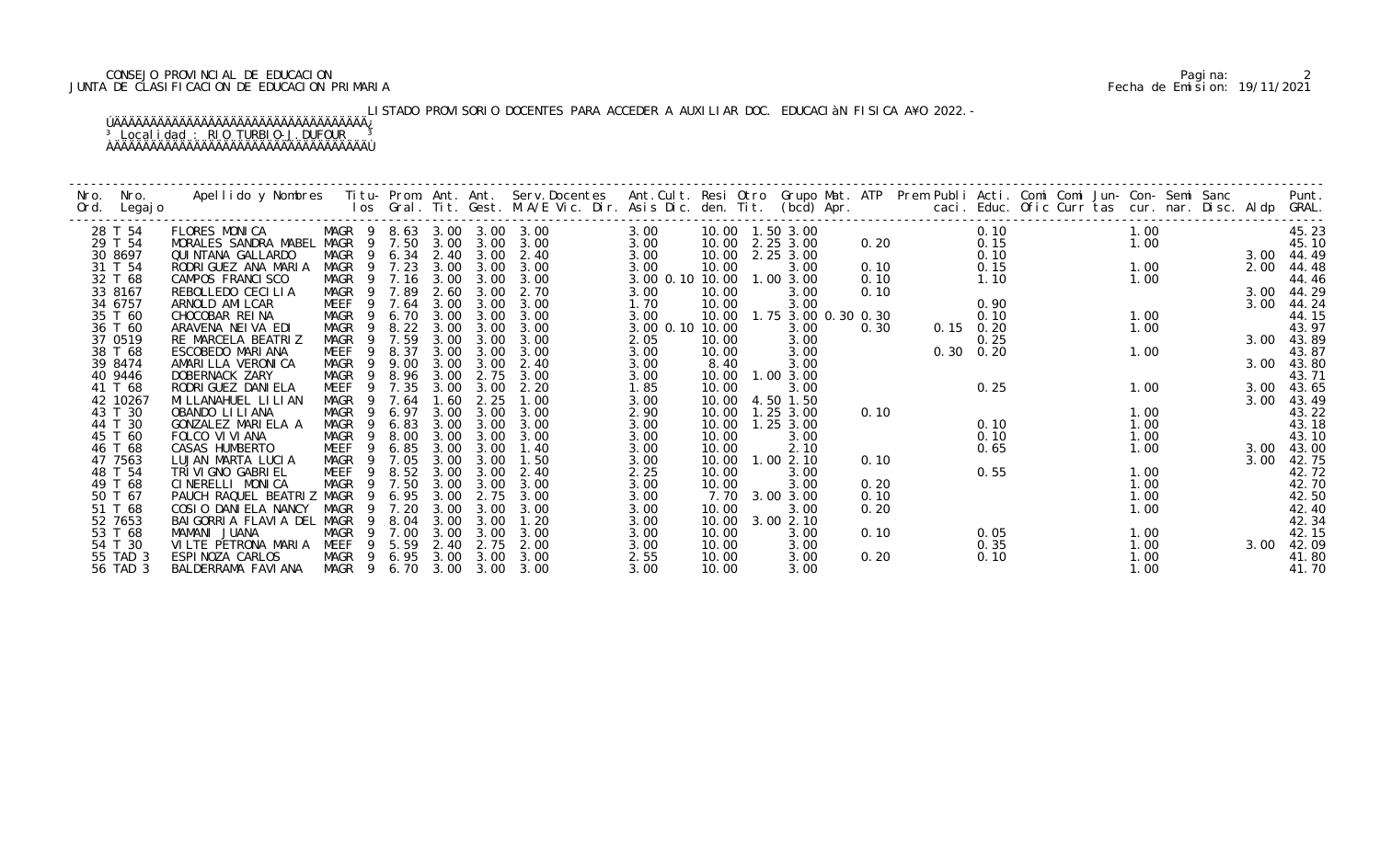### CONSEJO PROVINCIAL DE EDUCACION Pagina: 2 JUNTA DE CLASIFICACION DE EDUCACION PRIMARIA Fecha de Emision: 19/11/2021

LISTADO PROVISORIO DOCENTES PARA ACCEDER A AUXILIAR DOC. EDUCACIàN FISICA A¥O 2022.-

| Nro. | Nro.<br>Ord. Legajo | Apellido y Nombres - Titu- Prom. Ant. Ant. Serv.Docentes - Ant.Cult. Resi Otro Grupo Mat. ATP Prem Publi Acti. Comi Comi Jun- Con- Semi Sanc - - Punt.<br>Ios Gral. Tit. Gest. M.A/E Vic. Dir. Asis Dic. den. Tit. (bcd) Apr. - - |                       |                |        |      |      |                            |                 |       |                     |      |      |               |  |      |      |                |
|------|---------------------|-----------------------------------------------------------------------------------------------------------------------------------------------------------------------------------------------------------------------------------|-----------------------|----------------|--------|------|------|----------------------------|-----------------|-------|---------------------|------|------|---------------|--|------|------|----------------|
|      | 28 T 54             | FLORES MONICA                                                                                                                                                                                                                     |                       |                |        |      |      | MAGR 9 8.63 3.00 3.00 3.00 | 3.00            |       |                     |      |      | 0.10          |  | 1.00 |      | 45.23          |
|      | 29 T 54             | MORALES SANDRA MABEL MAGR 9 7.50 3.00                                                                                                                                                                                             |                       |                |        |      | 3.00 | 3.00                       | 3.00            |       | 10.00 2.25 3.00     | 0.20 |      | 0.15          |  | 1.00 |      | 45.10          |
|      | 30 8697             | QUI NTANA GALLARDO                                                                                                                                                                                                                | MAGR 9 6.34 2.40      |                |        |      | 3.00 | 2.40                       | 3.00            |       | 10.00 2.25 3.00     |      |      | 0.10          |  |      |      | 3.00 44.49     |
|      | 31 T 54             | RODRI GUEZ ANA MARIA                                                                                                                                                                                                              | MAGR                  |                | 9 7.23 | 3.00 | 3.00 | 3.00                       | 3.00            | 10.00 | 3.00                | 0.10 |      | 0.15          |  | 1.00 | 2.00 | 44.48          |
|      | 32 T 68             | CAMPOS FRANCISCO                                                                                                                                                                                                                  | MAGR                  |                | 9 7.16 | 3.00 | 3.00 | 3.00                       | 3.00 0.10 10.00 |       | 1.00 3.00           | 0.10 |      | 1.10          |  | 1.00 |      | 44.46          |
|      | 33 8167             | REBOLLEDO CECILIA                                                                                                                                                                                                                 | MAGR 9                |                | 7.89   | 2.60 | 3.00 | 2.70                       | 3.00            | 10.00 | 3.00                | 0.10 |      |               |  |      |      | 3.00 44.29     |
|      | 34 6757             | ARNOLD AMI LCAR                                                                                                                                                                                                                   | MEEF                  |                | 9 7.64 | 3.00 | 3.00 | 3.00                       | 1.70            | 10.00 | 3.00                |      |      | 0.90          |  |      | 3.00 | 44.24          |
|      | 35 T 60             | CHOCOBAR REINA                                                                                                                                                                                                                    | MAGR                  | - 9            | 6.70   | 3.00 | 3.00 | 3.00                       | 3.00            | 10.00 | 1.75 3.00 0.30 0.30 |      |      | 0.10          |  | 1.00 |      | 44.15          |
|      | 36 T 60             | ARAVENA NEIVA EDI                                                                                                                                                                                                                 | MAGR                  | 9              | 8.22   | 3.00 | 3.00 | 3.00                       | 3.00 0.10 10.00 |       | 3.00                | 0.30 |      | $0.15$ $0.20$ |  | 1.00 |      | 43.97          |
|      | 37 0519             | RE MARCELA BEATRIZ                                                                                                                                                                                                                | MAGR                  | -9             | 7.59   | 3.00 | 3.00 | 3.00                       | 2.05            | 10.00 | 3.00                |      |      | 0.25          |  |      | 3.00 | 43.89          |
|      | 38 T 68             | ESCOBEDO MARIANA                                                                                                                                                                                                                  | MEEF                  |                | 9 8.37 | 3.00 | 3.00 | 3.00                       | 3.00            | 10.00 | 3.00                |      | 0.30 | 0.20          |  | 1.00 |      | 43.87          |
|      | 39 8474             | AMARILLA VERONICA                                                                                                                                                                                                                 | MAGR                  | 9              | 9.00   | 3.00 | 3.00 | 2.40                       | 3.00            | 8.40  | 3.00                |      |      |               |  |      |      | 3.00 43.80     |
|      | 40 9446             | DOBERNACK ZARY                                                                                                                                                                                                                    | MAGR                  | - 9            | 8.96   | 3.00 | 2.75 | 3.00                       | 3.00            | 10.00 | 1.003.00            |      |      |               |  |      |      | 43.71          |
|      | 41 T 68             | RODRI GUEZ DANI ELA                                                                                                                                                                                                               | MEEF                  | 9              | 7.35   | 3.00 | 3.00 | 2.20                       | 1.85            | 10.00 | 3.00                |      |      | 0.25          |  | 1.00 |      | 3.00 43.65     |
|      | 42 10267            | MI LLANAHUEL LI LI AN                                                                                                                                                                                                             | MAGR                  |                | 9 7.64 | 1.60 | 2.25 | 1.00                       | 3.00            | 10.00 | 4.50 1.50           |      |      |               |  |      | 3.00 | 43.49          |
|      | 43 T 30             | OBANDO LI LI ANA                                                                                                                                                                                                                  | <b>MAGR</b>           | -9             | 6.97   | 3.00 | 3.00 | 3.00                       | 2.90            | 10.00 | $1.25$ $3.00$       | 0.10 |      |               |  | 1.00 |      | 43.22<br>43.18 |
|      | 44 T 30             | GONZALEZ MARIELA A                                                                                                                                                                                                                | MAGR                  | -9             | 6.83   | 3.00 | 3.00 | 3.00                       | 3.00            | 10.00 | 1.25 3.00           |      |      | 0.10          |  | 1.00 |      |                |
|      | 45 T 60             | FOLCO VI VI ANA                                                                                                                                                                                                                   | MAGR                  | 9              | 8.00   | 3.00 | 3.00 | 3.00                       | 3.00            | 10.00 | 3.00                |      |      | 0.10          |  | 1.00 |      | 43.10          |
|      | 46 T 68             | CASAS HUMBERTO                                                                                                                                                                                                                    | MEEF                  | -9             | 6.85   | 3.00 | 3.00 | 1.40                       | 3.00            | 10.00 | 2.10                |      |      | 0.65          |  | 1.00 |      | 3.00 43.00     |
|      | 47 7563             | LUJAN MARTA LUCIA                                                                                                                                                                                                                 | MAGR                  | - 9            | 7.05   | 3.00 | 3.00 | 1.50                       | 3.00            | 10.00 | 1.002.10            | 0.10 |      |               |  |      | 3.00 | 42.75          |
|      | 48 T 54             | TRI VI GNO GABRI EL                                                                                                                                                                                                               | MEEF                  | 9              | 8.52   | 3.00 | 3.00 | 2.40                       | 2.25            | 10.00 | 3.00                |      |      | 0.55          |  | 1.00 |      | 42.72          |
|      | 49 T 68             | CINERELLI MONICA                                                                                                                                                                                                                  | MAGR                  | $\overline{9}$ | 7.50   | 3.00 | 3.00 | 3.00                       | 3.00            | 10.00 | 3.00                | 0.20 |      |               |  | 1.00 |      | 42.70          |
|      | 50 T 67             | PAUCH RAQUEL BEATRIZ MAGR                                                                                                                                                                                                         |                       |                | 9 6.95 | 3.00 | 2.75 | 3.00                       | 3.00            | 7.70  | 3.00 3.00           | 0.10 |      |               |  | 1.00 |      | 42.50          |
|      | 51 T 68             | COSIO DANIELA NANCY                                                                                                                                                                                                               | MAGR                  | 9              | 7.20   | 3.00 | 3.00 | 3.00                       | 3.00            | 10.00 | 3.00                | 0.20 |      |               |  | 1.00 |      | 42.40          |
|      | 52 7653             | BAI GORRI A FLAVI A DEL MAGR                                                                                                                                                                                                      |                       | 9              | 8.04   | 3.00 | 3.00 | 1.20                       | 3.00            | 10.00 | 3.00 2.10           |      |      |               |  |      |      | 42.34          |
|      | 53 T 68             | MAMANI JUANA                                                                                                                                                                                                                      | MAGR                  |                | 9 7.00 | 3.00 | 3.00 | 3.00                       | 3.00            | 10.00 | 3.00                | 0.10 |      | 0.05          |  | 1.00 |      | 42.15          |
|      | 54 T 30             | VILTE PETRONA MARIA MEEF                                                                                                                                                                                                          |                       |                | 9 5.59 | 2.40 | 2.75 | 2.00                       | 3.00            | 10.00 | 3.00                |      |      | 0.35          |  | 1.00 | 3.00 | 42.09          |
|      | 55 TAD 3            | ESPINOZA CARLOS                                                                                                                                                                                                                   | MAGR 9 6.95 3.00      |                |        |      | 3.00 | 3.00                       | 2.55            | 10.00 | 3.00                | 0.20 |      | 0.10          |  | 1.00 |      | 41.80          |
|      | 56 TAD 3            | BALDERRAMA FAVIANA                                                                                                                                                                                                                | MAGR 9 6.70 3.00 3.00 |                |        |      |      | 3.00                       | 3.00            | 10.00 | 3.00                |      |      |               |  | 1.00 |      | 41.70          |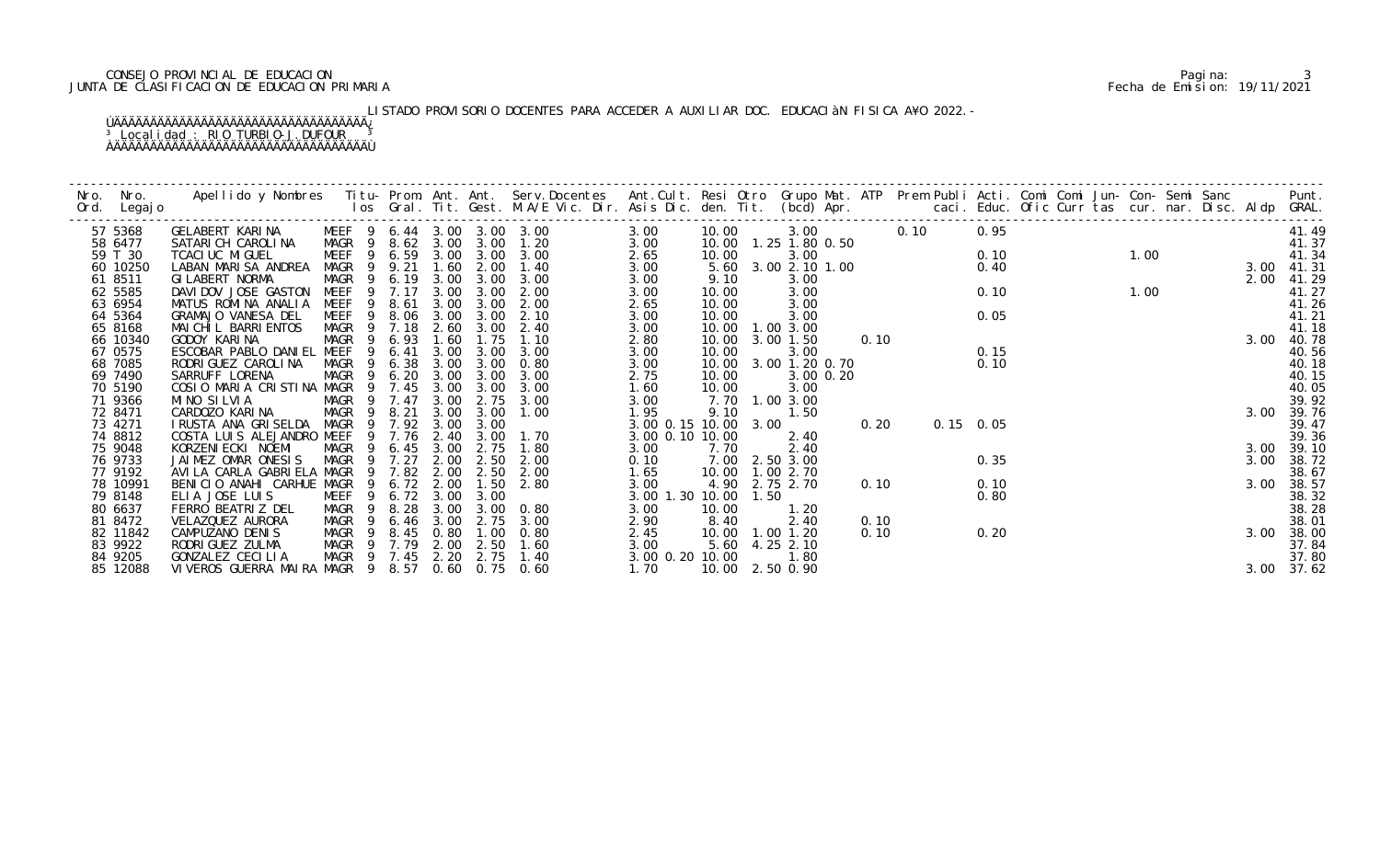### CONSEJO PROVINCIAL DE EDUCACION Pagina: 3 JUNTA DE CLASIFICACION DE EDUCACION PRIMARIA Fecha de Emision: 19/11/2021

# LISTADO PROVISORIO DOCENTES PARA ACCEDER A AUXILIAR DOC. EDUCACIàN FISICA A¥O 2022.-

| Nro. Nro.<br>Ord. Legajo | Apellido y Nombres Titu-Prom. Ant. Ant. Serv.Docentes Ant.Cult. Resi Otro Grupo Mat. ATP Prem Publi Acti. Comi Comi Jun-Con-Semi Sanc Punt.<br>Ios Gral. Tit. Gest. M.A/E Vic. Dir. Asis Dic. den. Tit. (bcd) Apr. |                                           |                       |           |           |                     |                      |                 |      |                         |           |      |             |      |        |  |  |      |                |
|--------------------------|--------------------------------------------------------------------------------------------------------------------------------------------------------------------------------------------------------------------|-------------------------------------------|-----------------------|-----------|-----------|---------------------|----------------------|-----------------|------|-------------------------|-----------|------|-------------|------|--------|--|--|------|----------------|
| 57 5368                  | GELABERT KARINA                                                                                                                                                                                                    | MEEF 9 6.44 3.00 3.00 3.00                |                       |           |           |                     | 3.00                 | 10.00           |      |                         | 3.00 0.10 |      |             | 0.95 |        |  |  |      | 41.49          |
| 58 6477                  | SATARICH CAROLINA MAGR 9 8.62 3.00 3.00 1.20                                                                                                                                                                       |                                           |                       |           |           |                     | 3.00                 |                 |      | 10.00  1.25  1.80  0.50 |           |      |             |      | $1.00$ |  |  |      | 41.37          |
| 59 T 30                  | TCACI UC MI GUEL                                                                                                                                                                                                   | MEEF 9 6.59 3.00 3.00 3.00                |                       |           |           |                     | 2.65                 | 10.00           |      | 3.00                    |           |      |             | 0.10 |        |  |  |      | 41.34          |
| 60 10250                 | LABAN MARISA ANDREA                                                                                                                                                                                                | MAGR 9 9.21                               |                       |           |           | 1.60 2.00 1.40      | 3.00                 |                 |      | 5.60 3.00 2.10 1.00     |           |      |             | 0.40 | $1.00$ |  |  |      | 3.00 41.31     |
| 61 8511                  | GI LABERT NORMA                                                                                                                                                                                                    | MAGR                                      | 9 6.19 3.00 3.00 3.00 |           |           |                     | 3.00                 | 9.10            |      | 3.00                    |           |      |             |      |        |  |  | 2.00 | 41.29          |
| 62 5585                  | DAVIDOV JOSE GASTON MEEF 9 7.17                                                                                                                                                                                    | - 9                                       |                       | 3.00      |           | 3.00 2.00           | 3.00                 | 10.00           |      | 3.00                    |           |      |             | 0.10 |        |  |  |      | 41.27          |
| 63 6954<br>64 5364       | MATUS ROMINA ANALIA                                                                                                                                                                                                | MEEF                                      | 8.61                  | 3.00      | 3.00      | 2.00                | 2.65                 | 10.00<br>10.00  |      | 3.00<br>3.00            |           |      |             | 0.05 |        |  |  |      | 41.26          |
| 65 8168                  | GRAMAJO VANESA DEL<br>MAI CHI L BARRI ENTOS                                                                                                                                                                        | MEEF 9 8.06 3.00 3.00 2.10<br>MAGR 9 7.18 |                       |           |           | 2.60 3.00 2.40      | 3.00<br>3.00         |                 |      | 10.00  1.00  3.00       |           |      |             |      |        |  |  |      | 41.21<br>41.18 |
| 66 10340                 | GODOY KARINA                                                                                                                                                                                                       | MAGR<br>9                                 | 6.93                  | 1.60      | 1.75      | 1.10                | 2.80                 |                 |      | 10.00 3.00 1.50         | 0.10      |      |             |      |        |  |  |      | 3.00 40.78     |
| 67 0575                  | ESCOBAR PABLO DANIEL MEEF                                                                                                                                                                                          | -9                                        | 6.41                  | 3.00      | 3.00      | 3.00                | 3.00                 | 10.00           |      | 3.00                    |           |      |             | 0.15 |        |  |  |      | 40.56          |
| 68 7085                  | RODRI GUEZ CAROLI NA                                                                                                                                                                                               | MAGR 9                                    |                       |           |           | 6.38 3.00 3.00 0.80 | 3.00                 |                 |      | 10.00 3.00 1.20 0.70    |           |      |             | 0.10 |        |  |  |      | 40.18          |
| 69 7490                  | SARRUFF LORENA                                                                                                                                                                                                     | MAGR 9 6.20 3.00 3.00                     |                       |           |           | 3.00                | 2.75                 | 10.00           |      | 3.00 0.20               |           |      |             |      |        |  |  |      | 40.15          |
| 70 5190                  | COSIO MARIA CRISTINA MAGR 9 7.45 3.00 3.00 3.00                                                                                                                                                                    |                                           |                       |           |           |                     | 1.60                 | 10.00           |      | 3.00                    |           |      |             |      |        |  |  |      | 40.05          |
| 71 9366                  | MINO SILVIA                                                                                                                                                                                                        | MAGR 9 7.47                               |                       | 3.00      | 2.75      | 3.00                | 3.00                 |                 |      | 7.70 1.00 3.00          |           |      |             |      |        |  |  |      | 39.92          |
| 72 8471                  | CARDOZO KARINA                                                                                                                                                                                                     | MAGR 9 8.21                               |                       | 3.00      | 3.00      | 1.00                | 1.95                 | 9.10            |      | 1.50                    |           |      |             |      |        |  |  |      | 3.00 39.76     |
| 73 4271                  | I RUSTA ANA GRISELDA MAGR 9 7.92 3.00                                                                                                                                                                              |                                           |                       |           | 3.00      |                     | 3.00 0.15 10.00 3.00 |                 |      |                         |           | 0.20 | $0.15$ 0.05 |      |        |  |  |      | 39.47          |
| 74 8812                  | COSTA LUIS ALEJANDRO MEEF                                                                                                                                                                                          |                                           | 9 7.76                |           | 2.40 3.00 | 1.70                | 3.00 0.10 10.00      |                 |      | 2.40                    |           |      |             |      |        |  |  |      | 39.36          |
| 75 9048                  | KORZENI ECKI NOEMI                                                                                                                                                                                                 | MAGR 9                                    | 6.45                  | 3.00      | 2.75      | 1.80                | 3.00                 | 7.70            |      | 2.40                    |           |      |             |      |        |  |  |      | 3.00 39.10     |
| 76 9733                  | JAIMEZ OMAR ONESIS                                                                                                                                                                                                 | MAGR 9 7.27                               |                       | 2.00      |           | 2.50 2.00           | 0.10                 | 7.00 2.50 3.00  |      |                         |           |      |             | 0.35 |        |  |  | 3.00 | 38.72          |
| 77 9192                  | AVILA CARLA GABRIELA MAGR 9 7.82                                                                                                                                                                                   |                                           |                       | 2.00      |           | 2.50 2.00           | 1.65                 |                 |      | 10.00  1.00  2.70       |           |      |             |      |        |  |  |      | 38.67          |
| 78 10991                 | BENICIO ANAHI CARHUE MAGR 9                                                                                                                                                                                        |                                           |                       |           |           | 6.72 2.00 1.50 2.80 | 3.00                 |                 |      | 4.90 2.75 2.70          |           | 0.10 |             | 0.10 |        |  |  |      | 3.00 38.57     |
| 79 8148                  | ELIA JOSE LUIS                                                                                                                                                                                                     | MEEF 9 6.72 3.00                          |                       |           | 3.00      |                     | 3.00 1.30 10.00      |                 | 1.50 |                         |           |      |             | 0.80 |        |  |  |      | 38.32          |
| 80 6637                  | FERRO BEATRIZ DEL                                                                                                                                                                                                  | MAGR 9                                    |                       | 8.28 3.00 |           | $3.00\quad 0.80$    | 3.00                 | 10.00           |      | 1.20                    |           |      |             |      |        |  |  |      | 38.28          |
| 81 8472                  | VELAZQUEZ AURORA                                                                                                                                                                                                   | MAGR 9                                    |                       |           |           | 6.46 3.00 2.75 3.00 | 2.90                 | 8.40            |      | 2.40                    |           | 0.10 |             |      |        |  |  |      | 38.01          |
| 82 11842                 | CAMPUZANO DENIS                                                                                                                                                                                                    | MAGR 9 8.45 0.80 1.00                     |                       |           |           | 0.80                | 2.45                 | 10.00 1.00 1.20 |      |                         |           | 0.10 |             | 0.20 |        |  |  |      | 3.00 38.00     |
| 83 9922                  | RODRI GUEZ ZULMA                                                                                                                                                                                                   | MAGR 9 7.79 2.00 2.50                     |                       |           |           | 1.60                | 3.00                 |                 |      | 5.60 4.25 2.10          |           |      |             |      |        |  |  |      | 37.84          |
| 84 9205                  | GONZALEZ CECILIA                                                                                                                                                                                                   | MAGR 9 7.45                               |                       | 2.20      | 2.75      | 1.40                | 3.00 0.20 10.00      |                 |      | 1.80                    |           |      |             |      |        |  |  |      | 37.80          |
| 85 12088                 | VIVEROS GUERRA MAIRA MAGR 9 8.57 0.60 0.75 0.60                                                                                                                                                                    |                                           |                       |           |           |                     | 1.70                 | 10.00 2.50 0.90 |      |                         |           |      |             |      |        |  |  |      | 3.00 37.62     |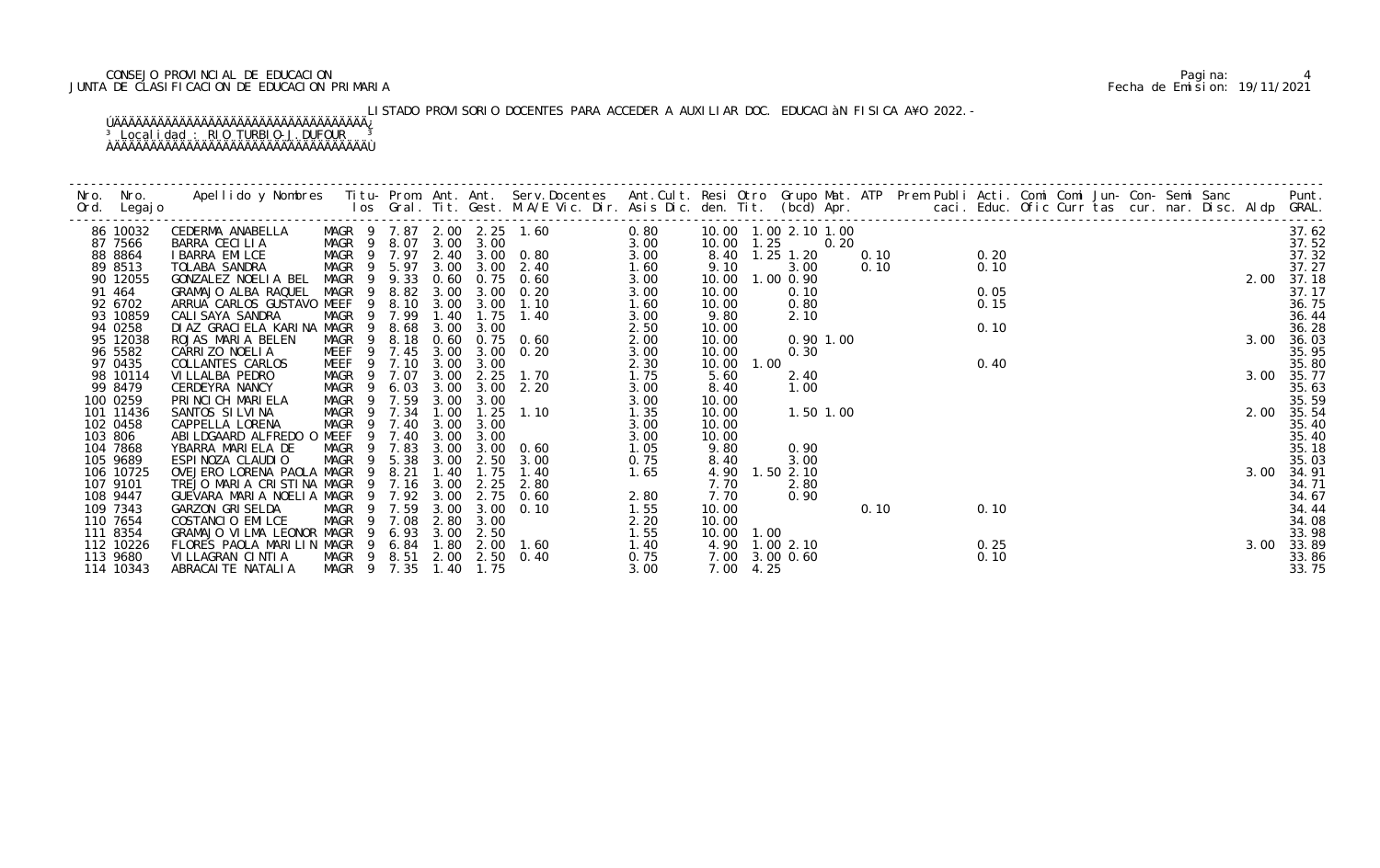### CONSEJO PROVINCIAL DE EDUCACION Pagina: 4 JUNTA DE CLASIFICACION DE EDUCACION PRIMARIA Fecha de Emision: 19/11/2021

# LISTADO PROVISORIO DOCENTES PARA ACCEDER A AUXILIAR DOC. EDUCACIàN FISICA A¥O 2022.-

| 86 10032  | CEDERMA ANABELLA                                                                               |                   |                |              |                       | 0.80<br>MAGR 9 7.87 2.00 2.25 1.60<br>MAGR 9 8.07 3.00 3.00                                                                                                                                     |      | 10.00  1.00  2.10  1.00 |                |           |      |      |      |  |  |  |      | 37.62      |
|-----------|------------------------------------------------------------------------------------------------|-------------------|----------------|--------------|-----------------------|-------------------------------------------------------------------------------------------------------------------------------------------------------------------------------------------------|------|-------------------------|----------------|-----------|------|------|------|--|--|--|------|------------|
| 87 7566   | BARRA CECILIA                                                                                  |                   |                |              |                       |                                                                                                                                                                                                 |      | 10.00 1.25              |                | 0.20      |      |      |      |  |  |  |      | 37.52      |
| 88 8864   | I BARRA EMILCE                                                                                 |                   |                |              |                       | MAGR 9 8.07 3.00 3.00<br>MAGR 9 7.97 2.40 3.00 0.80 3.00<br>MAGR 9 5.97 3.00 3.00 2.40 3.00<br>MAGR 9 9.33 0.60 0.75 0.60 3.00<br>MAGR 9 9.33 0.60 0.75 0.60 3.00<br>MAGR 9 8.82 3.00 2.00 0.00 |      | 8.40 1.25 1.20          |                |           |      | 0.10 | 0.20 |  |  |  |      | 37.32      |
| 89 8513   | TOLABA SANDRA                                                                                  |                   |                |              |                       |                                                                                                                                                                                                 |      | 9.10                    |                | 3.00      | 0.10 |      | 0.10 |  |  |  |      | 37.27      |
| 90 12055  | GONZALEZ NOELIA BEL                                                                            |                   |                |              |                       |                                                                                                                                                                                                 |      | 10.00                   | 1.00 0.90      |           |      |      |      |  |  |  |      | 2.00 37.18 |
| 91 464    | GRAMAJO ALBA RAQUEL                                                                            | MAGR 9            |                |              |                       | 8.82 3.00 3.00 0.20                                                                                                                                                                             | 3.00 | 10.00                   |                | 0.10      |      |      | 0.05 |  |  |  |      | 37.17      |
| 92 6702   | ARRUA CARLOS GUSTAVO MEEF                                                                      |                   | 9 8.10         |              | 3.00 3.00             | 1.10                                                                                                                                                                                            | 1.60 | 10.00                   |                | 0.80      |      |      | 0.15 |  |  |  |      | 36.75      |
| 93 10859  | CALI SAYA SANDRA                                                                               | MAGR 9 7.99       |                | 1.40         |                       | 1.75 1.40                                                                                                                                                                                       | 3.00 | 9.80                    |                | 2.10      |      |      |      |  |  |  |      | 36.44      |
| 94 0258   | DI AZ GRACI ELA KARI NA MAGR                                                                   | 9                 | 8.68           | 3.00         | 3.00                  |                                                                                                                                                                                                 | 2.50 | 10.00                   |                |           |      |      | 0.10 |  |  |  |      | 36.28      |
| 95 12038  | ROJAS MARIA BELEN                                                                              | MAGR 9 8.18       |                |              |                       | 0.60 0.75 0.60                                                                                                                                                                                  | 2.00 | 10.00                   |                | 0.901.00  |      |      |      |  |  |  | 3.00 | 36.03      |
| 96 5582   | CARRIZO NOELIA                                                                                 |                   |                |              |                       | MEEF 9 7.45 3.00 3.00 0.20                                                                                                                                                                      | 3.00 | 10.00                   |                | 0.30      |      |      |      |  |  |  |      | 35.95      |
| 97 0435   | COLLANTES CARLOS                                                                               |                   |                |              | MEEF 9 7.10 3.00 3.00 |                                                                                                                                                                                                 | 2.30 | 10.00                   | 1.00           |           |      |      | 0.40 |  |  |  |      | 35.80      |
| 98 10114  | VI LLALBA PEDRO                                                                                | MAGR <sub>9</sub> | 7.07           | 3.00         | 2.25                  | 1.70                                                                                                                                                                                            | 1.75 | 5.60                    |                | 2.40      |      |      |      |  |  |  |      | 3.00 35.77 |
| 99 8479   | CERDEYRA NANCY                                                                                 | MAGR <sub>9</sub> | 6.03           |              |                       | 3.00 3.00 2.20                                                                                                                                                                                  | 3.00 | 8.40                    |                | 1.00      |      |      |      |  |  |  |      | 35.63      |
| 100 0259  | PRINCICH MARIELA                                                                               | MAGR 9 7.59       |                | 3.00         | 3.00                  |                                                                                                                                                                                                 | 3.00 | 10.00                   |                |           |      |      |      |  |  |  |      | 35.59      |
| 101 11436 | SANTOS SILVINA                                                                                 | MAGR              | $\overline{9}$ | 7.34 1.00    |                       | $1.25$ $1.10$                                                                                                                                                                                   | 1.35 | 10.00                   |                | 1.50 1.00 |      |      |      |  |  |  |      | 2.00 35.54 |
| 102 0458  | CAPPELLA LORENA                                                                                | MAGR              |                | 7.40<br>3.00 | 3.00                  |                                                                                                                                                                                                 | 3.00 | 10.00                   |                |           |      |      |      |  |  |  |      | 35.40      |
| 103 806   | ABILDGAARD ALFREDO O MEEF 9                                                                    |                   | 7.40           | 3.00         | 3.00                  |                                                                                                                                                                                                 | 3.00 | 10.00                   |                |           |      |      |      |  |  |  |      | 35.40      |
| 104 7868  | YBARRA MARIELA DE                                                                              | MAGR 9 7.83       |                |              |                       | 3.00 3.00 0.60                                                                                                                                                                                  | 1.05 | 9.80                    |                | 0.90      |      |      |      |  |  |  |      | 35.18      |
| 105 9689  | ESPINOZA CLAUDIO MAGR 9 5.38 3.00 2.50<br>OVEJERO LORENA PAOLA MAGR 9 8.21 1.40 1.75           |                   |                |              |                       | 3.00                                                                                                                                                                                            | 0.75 | 8.40                    |                | 3.00      |      |      |      |  |  |  |      | 35.03      |
| 106 10725 |                                                                                                |                   |                |              |                       | 1.40                                                                                                                                                                                            | 1.65 |                         | 4.90 1.50 2.10 |           |      |      |      |  |  |  |      | 3.00 34.91 |
| 107 9101  | TREJO MARIA CRISTINA MAGR                                                                      |                   | 7.16<br>- 9    | 3.00         | 2.25                  | 2.80                                                                                                                                                                                            |      | 7.70                    |                | 2.80      |      |      |      |  |  |  |      | 34.71      |
| 108 9447  | GUEVARA MARIA NOELIA MAGR                                                                      |                   |                |              |                       | 9 7.92 3.00 2.75 0.60                                                                                                                                                                           | 2.80 | 7.70                    |                | 0.90      |      |      |      |  |  |  |      | 34.67      |
| 109 7343  | <b>GARZON GRISELDA</b>                                                                         | MAGR <sub>9</sub> | 7.59           | 3.00         | 3.00                  | 0.10                                                                                                                                                                                            | 1.55 | 10.00                   |                |           | 0.10 |      | 0.10 |  |  |  |      | 34.44      |
| 110 7654  | COSTANCIO EMILCE                                                                               | MAGR 9            | 7.08           | 2.80         | 3.00                  |                                                                                                                                                                                                 | 2.20 | 10.00                   |                |           |      |      |      |  |  |  |      | 34.08      |
| 111 8354  | GRAMAJO VILMA LEONOR MAGR 9                                                                    |                   |                |              | 6.93 3.00 2.50        |                                                                                                                                                                                                 | 1.55 | 10.00 1.00              |                |           |      |      |      |  |  |  |      | 33.98      |
| 112 10226 | FLORES PAOLA MARILIN MAGR 9 6.84 1.80 2.00 1.60<br>VILLAGRAN CINTIA MAGR 9 8.51 2.00 2.50 0.40 |                   |                |              |                       | $\begin{array}{c} 1.40 \\ 0.75 \end{array}$                                                                                                                                                     |      | 4.90 1.00 2.10          |                |           |      |      | 0.25 |  |  |  |      | 3.00 33.89 |
| 113 9680  |                                                                                                |                   |                |              |                       |                                                                                                                                                                                                 | 0.75 | 7.00 3.00 0.60          |                |           |      |      | 0.10 |  |  |  |      | 33.86      |
| 114 10343 | ABRACAI TE NATALI A                                                                            |                   |                |              | MAGR 9 7.35 1.40 1.75 |                                                                                                                                                                                                 | 3.00 | 7.00 4.25               |                |           |      |      |      |  |  |  |      | 33.75      |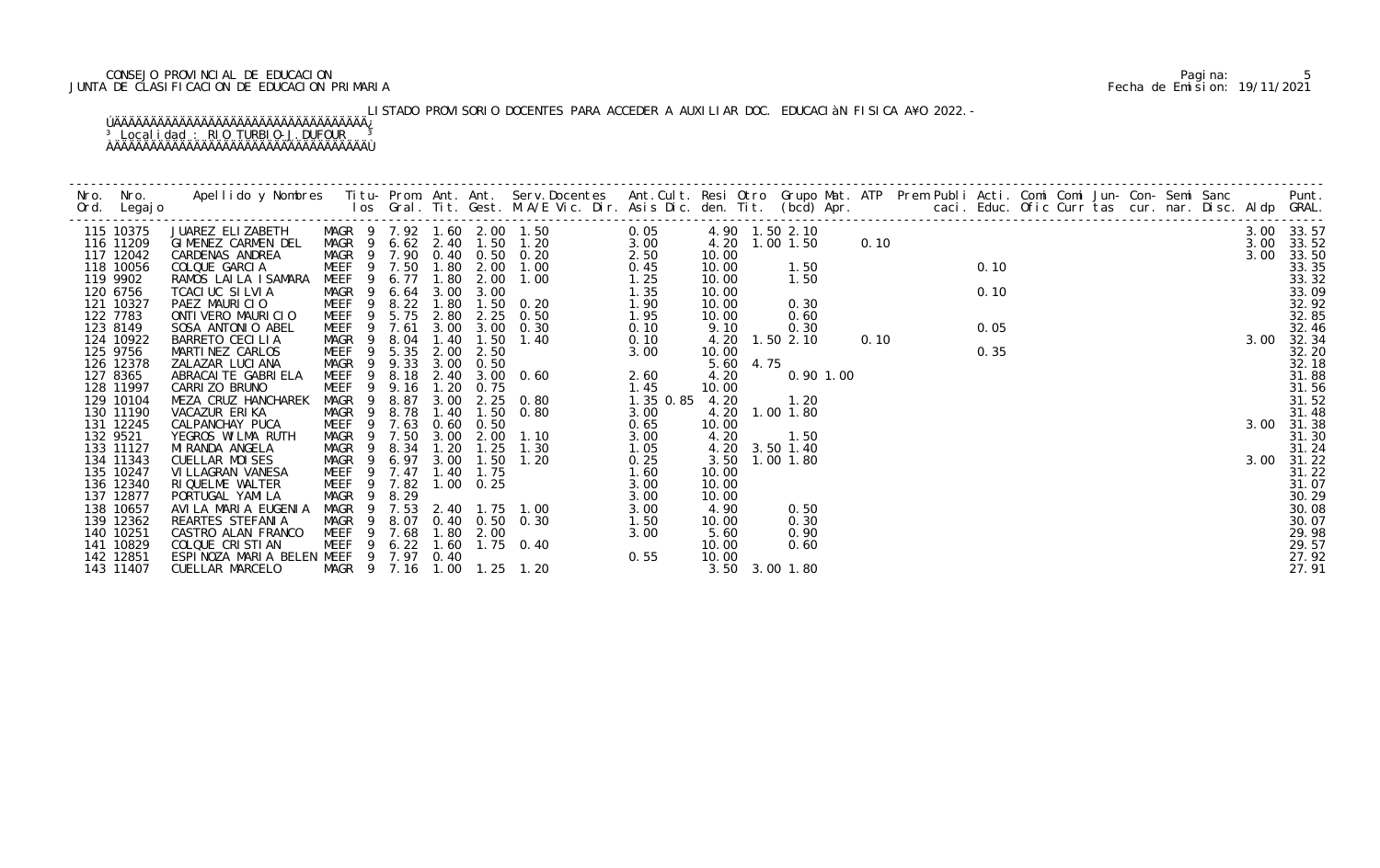### CONSEJO PROVINCIAL DE EDUCACION Pagina: 5 JUNTA DE CLASIFICACION DE EDUCACION PRIMARIA Fecha de Emision: 19/11/2021

LISTADO PROVISORIO DOCENTES PARA ACCEDER A AUXILIAR DOC. EDUCACIàN FISICA A¥O 2022.-

| 115 10375              |                                                          |                            |  |                                                                                                                   |       |                |  |  |  |  |  |      | 3.00 33.57          |
|------------------------|----------------------------------------------------------|----------------------------|--|-------------------------------------------------------------------------------------------------------------------|-------|----------------|--|--|--|--|--|------|---------------------|
| 116 11209<br>117 12042 |                                                          |                            |  |                                                                                                                   |       |                |  |  |  |  |  | 3.00 | 3.00 33.52<br>33.50 |
| 118 10056              |                                                          |                            |  |                                                                                                                   |       |                |  |  |  |  |  |      | 33.35               |
| 119 9902               |                                                          |                            |  |                                                                                                                   |       |                |  |  |  |  |  |      | 33.32               |
| 120 6756               |                                                          |                            |  |                                                                                                                   |       |                |  |  |  |  |  |      | 33.09               |
| 121 10327              |                                                          |                            |  |                                                                                                                   |       |                |  |  |  |  |  |      | 32.92               |
| 122 7783               |                                                          |                            |  |                                                                                                                   |       |                |  |  |  |  |  |      | 32.85               |
| 123 8149               |                                                          |                            |  |                                                                                                                   |       |                |  |  |  |  |  |      | 32.46               |
| 124 10922              |                                                          |                            |  |                                                                                                                   |       |                |  |  |  |  |  |      | 3.00 32.34          |
| 125 9756<br>126 12378  |                                                          |                            |  |                                                                                                                   |       |                |  |  |  |  |  |      | 32.20<br>32.18      |
| 127 8365               |                                                          |                            |  |                                                                                                                   |       |                |  |  |  |  |  |      | 31.88               |
| 128 11997              |                                                          |                            |  |                                                                                                                   |       |                |  |  |  |  |  |      | 31.56               |
| 129 10104              |                                                          |                            |  |                                                                                                                   |       |                |  |  |  |  |  |      | 31.52               |
| 130 11190              |                                                          |                            |  |                                                                                                                   |       |                |  |  |  |  |  |      | 31.48               |
| 131 12245              |                                                          |                            |  |                                                                                                                   |       |                |  |  |  |  |  |      | 3.00 31.38          |
| 132 9521               |                                                          |                            |  |                                                                                                                   |       |                |  |  |  |  |  |      | 31.30               |
| 133 11127              |                                                          |                            |  |                                                                                                                   |       |                |  |  |  |  |  |      | 31.24               |
| 134 11343<br>135 10247 |                                                          |                            |  |                                                                                                                   |       |                |  |  |  |  |  |      | 3.00 31.22<br>31.22 |
| 136 12340              |                                                          |                            |  |                                                                                                                   |       |                |  |  |  |  |  |      | 31.07               |
| 137 12877              |                                                          |                            |  |                                                                                                                   |       |                |  |  |  |  |  |      | 30.29               |
| 138 10657              |                                                          |                            |  |                                                                                                                   |       |                |  |  |  |  |  |      | 30.08               |
| 139 12362              |                                                          |                            |  |                                                                                                                   |       |                |  |  |  |  |  |      | 30.07               |
| 140 10251              |                                                          |                            |  |                                                                                                                   |       |                |  |  |  |  |  |      | 29.98               |
| 141 10829              |                                                          |                            |  |                                                                                                                   |       |                |  |  |  |  |  |      | 29.57               |
| 142 12851<br>143 11407 | ESPINOZA MARIA BELEN MEEF 9 7.97 0.40<br>CUELLAR MARCELO | MAGR 9 7.16 1.00 1.25 1.20 |  | 8. 07 0. 40 0. 50 0. 30<br>7. 68 1. 80 2. 00<br>6. 22 1. 60 1. 75 0. 40<br>7. 97 0. 40<br>7. 16 1. 00 1. 25 1. 20 | 10.00 | 3.50 3.00 1.80 |  |  |  |  |  |      | 27.92<br>27.91      |